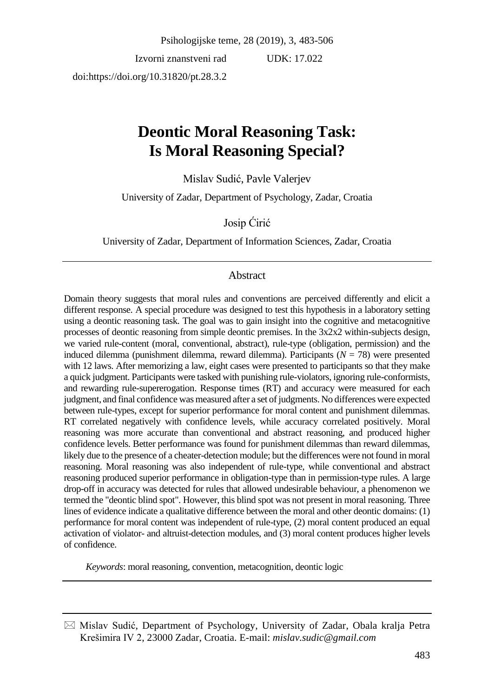Psihologijske teme, 28 (2019), 3, 483-506

Izvorni znanstveni rad doi:https://doi.org/10.31820/pt.28.3.2

UDK: 17.022

# **Deontic Moral Reasoning Task: Is Moral Reasoning Special?**

Mislav Sudić, Pavle Valerjev

University of Zadar, Department of Psychology, Zadar, Croatia

Josip Ćirić

University of Zadar, Department of Information Sciences, Zadar, Croatia

# Abstract

Domain theory suggests that moral rules and conventions are perceived differently and elicit a different response. A special procedure was designed to test this hypothesis in a laboratory setting using a deontic reasoning task. The goal was to gain insight into the cognitive and metacognitive processes of deontic reasoning from simple deontic premises. In the 3x2x2 within-subjects design, we varied rule-content (moral, conventional, abstract), rule-type (obligation, permission) and the induced dilemma (punishment dilemma, reward dilemma). Participants (*N* = 78) were presented with 12 laws. After memorizing a law, eight cases were presented to participants so that they make a quick judgment. Participants were tasked with punishing rule-violators, ignoring rule-conformists, and rewarding rule-supererogation. Response times (RT) and accuracy were measured for each judgment, and final confidence was measured after a set of judgments. No differences were expected between rule-types, except for superior performance for moral content and punishment dilemmas. RT correlated negatively with confidence levels, while accuracy correlated positively. Moral reasoning was more accurate than conventional and abstract reasoning, and produced higher confidence levels. Better performance was found for punishment dilemmas than reward dilemmas, likely due to the presence of a cheater-detection module; but the differences were not found in moral reasoning. Moral reasoning was also independent of rule-type, while conventional and abstract reasoning produced superior performance in obligation-type than in permission-type rules. A large drop-off in accuracy was detected for rules that allowed undesirable behaviour, a phenomenon we termed the "deontic blind spot". However, this blind spot was not present in moral reasoning. Three lines of evidence indicate a qualitative difference between the moral and other deontic domains: (1) performance for moral content was independent of rule-type, (2) moral content produced an equal activation of violator- and altruist-detection modules, and (3) moral content produces higher levels of confidence.

*Keywords*: moral reasoning, convention, metacognition, deontic logic

 $\boxtimes$  Mislav Sudić, Department of Psychology, University of Zadar, Obala kralja Petra Krešimira IV 2, 23000 Zadar, Croatia. E-mail: *mislav.sudic@gmail.com*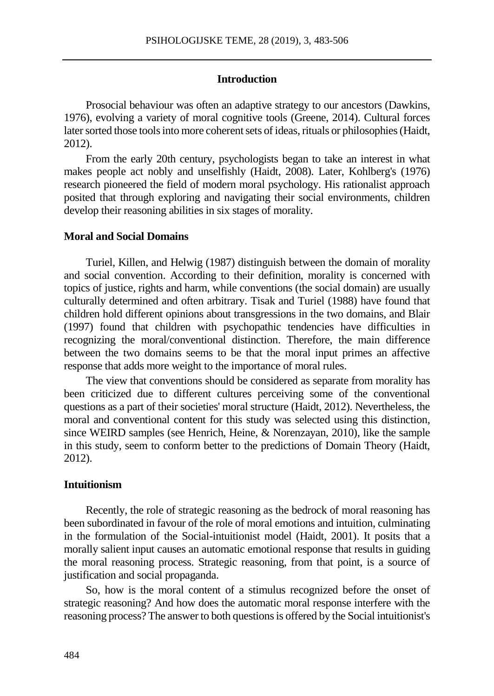## **Introduction**

Prosocial behaviour was often an adaptive strategy to our ancestors (Dawkins, 1976), evolving a variety of moral cognitive tools (Greene, 2014). Cultural forces later sorted those tools into more coherent sets of ideas, rituals or philosophies (Haidt, 2012).

From the early 20th century, psychologists began to take an interest in what makes people act nobly and unselfishly (Haidt, 2008). Later, Kohlberg's (1976) research pioneered the field of modern moral psychology. His rationalist approach posited that through exploring and navigating their social environments, children develop their reasoning abilities in six stages of morality.

## **Moral and Social Domains**

Turiel, Killen, and Helwig (1987) distinguish between the domain of morality and social convention. According to their definition, morality is concerned with topics of justice, rights and harm, while conventions (the social domain) are usually culturally determined and often arbitrary. Tisak and Turiel (1988) have found that children hold different opinions about transgressions in the two domains, and Blair (1997) found that children with psychopathic tendencies have difficulties in recognizing the moral/conventional distinction. Therefore, the main difference between the two domains seems to be that the moral input primes an affective response that adds more weight to the importance of moral rules.

The view that conventions should be considered as separate from morality has been criticized due to different cultures perceiving some of the conventional questions as a part of their societies' moral structure (Haidt, 2012). Nevertheless, the moral and conventional content for this study was selected using this distinction, since WEIRD samples (see Henrich, Heine, & Norenzayan, 2010), like the sample in this study, seem to conform better to the predictions of Domain Theory (Haidt, 2012).

### **Intuitionism**

Recently, the role of strategic reasoning as the bedrock of moral reasoning has been subordinated in favour of the role of moral emotions and intuition, culminating in the formulation of the Social-intuitionist model (Haidt, 2001). It posits that a morally salient input causes an automatic emotional response that results in guiding the moral reasoning process. Strategic reasoning, from that point, is a source of justification and social propaganda.

So, how is the moral content of a stimulus recognized before the onset of strategic reasoning? And how does the automatic moral response interfere with the reasoning process? The answer to both questions is offered by the Social intuitionist's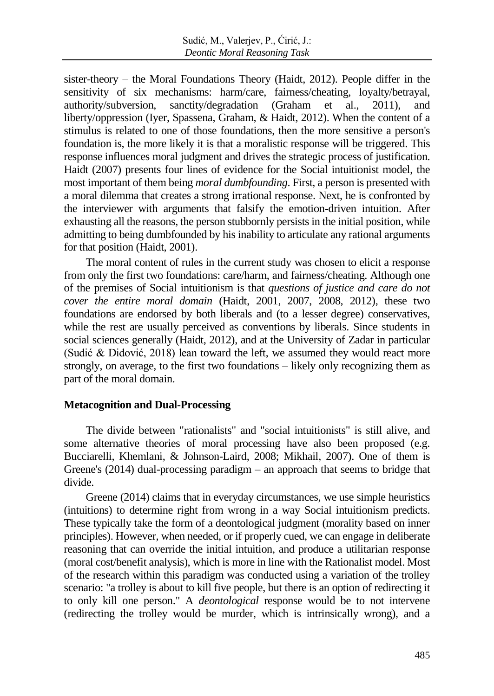sister-theory – the Moral Foundations Theory (Haidt, 2012). People differ in the sensitivity of six mechanisms: harm/care, fairness/cheating, loyalty/betrayal, authority/subversion, sanctity/degradation (Graham et al., 2011), and liberty/oppression (Iyer, Spassena, Graham, & Haidt, 2012). When the content of a stimulus is related to one of those foundations, then the more sensitive a person's foundation is, the more likely it is that a moralistic response will be triggered. This response influences moral judgment and drives the strategic process of justification. Haidt (2007) presents four lines of evidence for the Social intuitionist model, the most important of them being *moral dumbfounding*. First, a person is presented with a moral dilemma that creates a strong irrational response. Next, he is confronted by the interviewer with arguments that falsify the emotion-driven intuition. After exhausting all the reasons, the person stubbornly persists in the initial position, while admitting to being dumbfounded by his inability to articulate any rational arguments for that position (Haidt, 2001).

The moral content of rules in the current study was chosen to elicit a response from only the first two foundations: care/harm, and fairness/cheating. Although one of the premises of Social intuitionism is that *questions of justice and care do not cover the entire moral domain* (Haidt, 2001, 2007, 2008, 2012), these two foundations are endorsed by both liberals and (to a lesser degree) conservatives, while the rest are usually perceived as conventions by liberals. Since students in social sciences generally (Haidt, 2012), and at the University of Zadar in particular (Sudić & Didović, 2018) lean toward the left, we assumed they would react more strongly, on average, to the first two foundations – likely only recognizing them as part of the moral domain.

# **Metacognition and Dual-Processing**

The divide between "rationalists" and "social intuitionists" is still alive, and some alternative theories of moral processing have also been proposed (e.g. Bucciarelli, Khemlani, & Johnson-Laird, 2008; Mikhail, 2007). One of them is Greene's  $(2014)$  dual-processing paradigm – an approach that seems to bridge that divide.

Greene (2014) claims that in everyday circumstances, we use simple heuristics (intuitions) to determine right from wrong in a way Social intuitionism predicts. These typically take the form of a deontological judgment (morality based on inner principles). However, when needed, or if properly cued, we can engage in deliberate reasoning that can override the initial intuition, and produce a utilitarian response (moral cost/benefit analysis), which is more in line with the Rationalist model. Most of the research within this paradigm was conducted using a variation of the trolley scenario: "a trolley is about to kill five people, but there is an option of redirecting it to only kill one person." A *deontological* response would be to not intervene (redirecting the trolley would be murder, which is intrinsically wrong), and a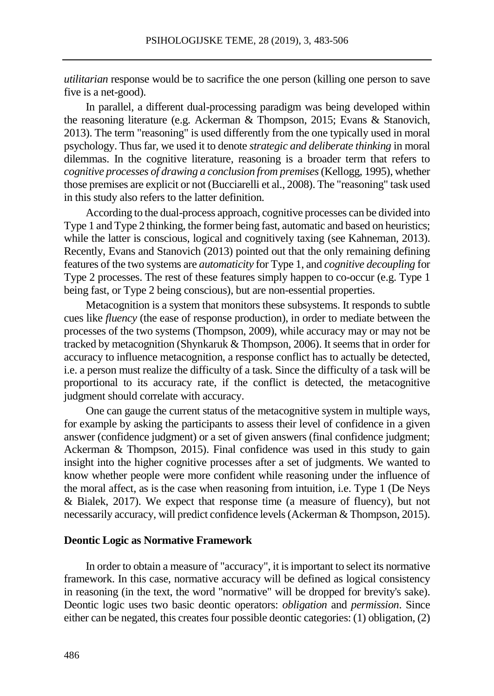*utilitarian* response would be to sacrifice the one person (killing one person to save five is a net-good).

In parallel, a different dual-processing paradigm was being developed within the reasoning literature (e.g. Ackerman & Thompson, 2015; Evans & Stanovich, 2013). The term "reasoning" is used differently from the one typically used in moral psychology. Thus far, we used it to denote *strategic and deliberate thinking* in moral dilemmas. In the cognitive literature, reasoning is a broader term that refers to *cognitive processes of drawing a conclusion from premises*(Kellogg, 1995), whether those premises are explicit or not (Bucciarelli et al., 2008). The "reasoning" task used in this study also refers to the latter definition.

According to the dual-process approach, cognitive processes can be divided into Type 1 and Type 2 thinking, the former being fast, automatic and based on heuristics; while the latter is conscious, logical and cognitively taxing (see Kahneman, 2013). Recently, Evans and Stanovich (2013) pointed out that the only remaining defining features of the two systems are *automaticity* for Type 1, and *cognitive decoupling* for Type 2 processes. The rest of these features simply happen to co-occur (e.g. Type 1 being fast, or Type 2 being conscious), but are non-essential properties.

Metacognition is a system that monitors these subsystems. It responds to subtle cues like *fluency* (the ease of response production), in order to mediate between the processes of the two systems (Thompson, 2009), while accuracy may or may not be tracked by metacognition (Shynkaruk & Thompson, 2006). It seems that in order for accuracy to influence metacognition, a response conflict has to actually be detected, i.e. a person must realize the difficulty of a task. Since the difficulty of a task will be proportional to its accuracy rate, if the conflict is detected, the metacognitive judgment should correlate with accuracy.

One can gauge the current status of the metacognitive system in multiple ways, for example by asking the participants to assess their level of confidence in a given answer (confidence judgment) or a set of given answers (final confidence judgment; Ackerman & Thompson, 2015). Final confidence was used in this study to gain insight into the higher cognitive processes after a set of judgments. We wanted to know whether people were more confident while reasoning under the influence of the moral affect, as is the case when reasoning from intuition, i.e. Type 1 (De Neys & Bialek, 2017). We expect that response time (a measure of fluency), but not necessarily accuracy, will predict confidence levels (Ackerman & Thompson, 2015).

## **Deontic Logic as Normative Framework**

In order to obtain a measure of "accuracy", it is important to select its normative framework. In this case, normative accuracy will be defined as logical consistency in reasoning (in the text, the word "normative" will be dropped for brevity's sake). Deontic logic uses two basic deontic operators: *obligation* and *permission*. Since either can be negated, this creates four possible deontic categories: (1) obligation, (2)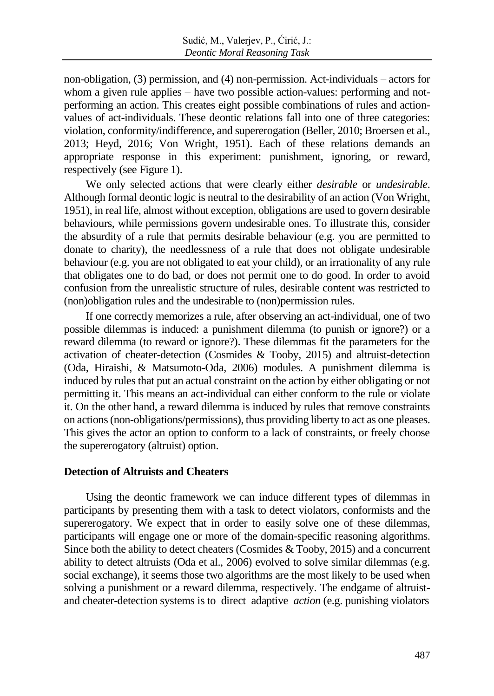non-obligation, (3) permission, and (4) non-permission. Act-individuals – actors for whom a given rule applies – have two possible action-values: performing and notperforming an action. This creates eight possible combinations of rules and actionvalues of act-individuals. These deontic relations fall into one of three categories: violation, conformity/indifference, and supererogation (Beller, 2010; Broersen et al., 2013; Heyd, 2016; Von Wright, 1951). Each of these relations demands an appropriate response in this experiment: punishment, ignoring, or reward, respectively (see Figure 1).

We only selected actions that were clearly either *desirable* or *undesirable*. Although formal deontic logic is neutral to the desirability of an action (Von Wright, 1951), in real life, almost without exception, obligations are used to govern desirable behaviours, while permissions govern undesirable ones. To illustrate this, consider the absurdity of a rule that permits desirable behaviour (e.g. you are permitted to donate to charity), the needlessness of a rule that does not obligate undesirable behaviour (e.g. you are not obligated to eat your child), or an irrationality of any rule that obligates one to do bad, or does not permit one to do good. In order to avoid confusion from the unrealistic structure of rules, desirable content was restricted to (non)obligation rules and the undesirable to (non)permission rules.

If one correctly memorizes a rule, after observing an act-individual, one of two possible dilemmas is induced: a punishment dilemma (to punish or ignore?) or a reward dilemma (to reward or ignore?). These dilemmas fit the parameters for the activation of cheater-detection (Cosmides & Tooby, 2015) and altruist-detection (Oda, Hiraishi, & Matsumoto-Oda, 2006) modules. A punishment dilemma is induced by rules that put an actual constraint on the action by either obligating or not permitting it. This means an act-individual can either conform to the rule or violate it. On the other hand, a reward dilemma is induced by rules that remove constraints on actions (non-obligations/permissions), thus providing liberty to act as one pleases. This gives the actor an option to conform to a lack of constraints, or freely choose the supererogatory (altruist) option.

# **Detection of Altruists and Cheaters**

Using the deontic framework we can induce different types of dilemmas in participants by presenting them with a task to detect violators, conformists and the supererogatory. We expect that in order to easily solve one of these dilemmas, participants will engage one or more of the domain-specific reasoning algorithms. Since both the ability to detect cheaters (Cosmides & Tooby, 2015) and a concurrent ability to detect altruists (Oda et al., 2006) evolved to solve similar dilemmas (e.g. social exchange), it seems those two algorithms are the most likely to be used when solving a punishment or a reward dilemma, respectively. The endgame of altruistand cheater-detection systems is to direct adaptive *action* (e.g. punishing violators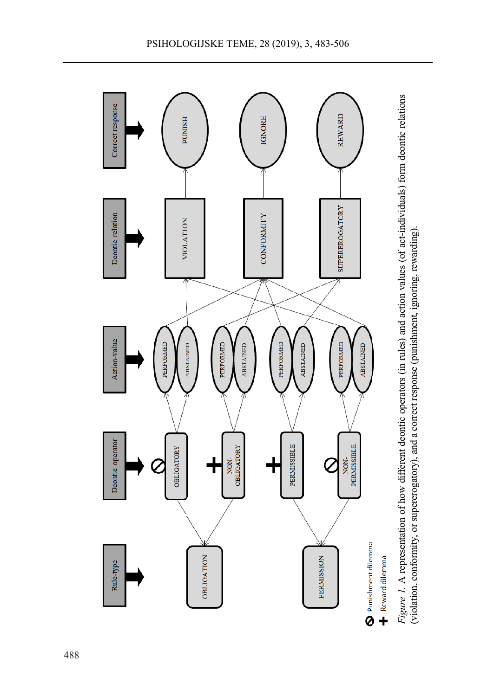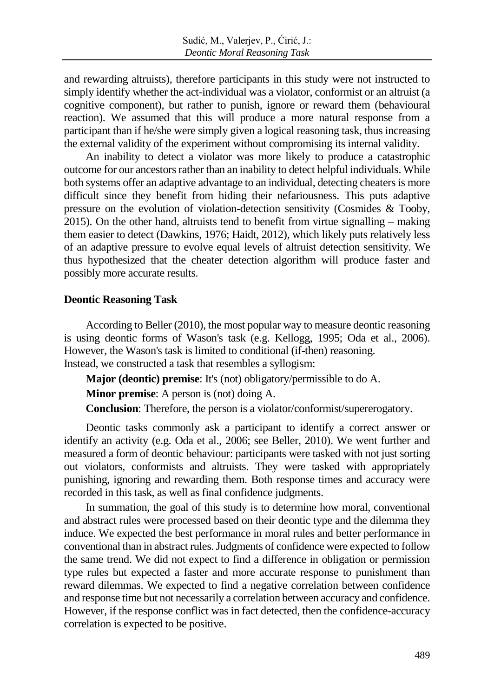and rewarding altruists), therefore participants in this study were not instructed to simply identify whether the act-individual was a violator, conformist or an altruist (a cognitive component), but rather to punish, ignore or reward them (behavioural reaction). We assumed that this will produce a more natural response from a participant than if he/she were simply given a logical reasoning task, thus increasing the external validity of the experiment without compromising its internal validity.

An inability to detect a violator was more likely to produce a catastrophic outcome for our ancestors rather than an inability to detect helpful individuals. While both systems offer an adaptive advantage to an individual, detecting cheaters is more difficult since they benefit from hiding their nefariousness. This puts adaptive pressure on the evolution of violation-detection sensitivity (Cosmides & Tooby, 2015). On the other hand, altruists tend to benefit from virtue signalling – making them easier to detect (Dawkins, 1976; Haidt, 2012), which likely puts relatively less of an adaptive pressure to evolve equal levels of altruist detection sensitivity. We thus hypothesized that the cheater detection algorithm will produce faster and possibly more accurate results.

# **Deontic Reasoning Task**

According to Beller (2010), the most popular way to measure deontic reasoning is using deontic forms of Wason's task (e.g. Kellogg, 1995; Oda et al., 2006). However, the Wason's task is limited to conditional (if-then) reasoning. Instead, we constructed a task that resembles a syllogism:

**Major (deontic) premise**: It's (not) obligatory/permissible to do A.

**Minor premise**: A person is (not) doing A.

**Conclusion**: Therefore, the person is a violator/conformist/supererogatory.

Deontic tasks commonly ask a participant to identify a correct answer or identify an activity (e.g. Oda et al., 2006; see Beller, 2010). We went further and measured a form of deontic behaviour: participants were tasked with not just sorting out violators, conformists and altruists. They were tasked with appropriately punishing, ignoring and rewarding them. Both response times and accuracy were recorded in this task, as well as final confidence judgments.

In summation, the goal of this study is to determine how moral, conventional and abstract rules were processed based on their deontic type and the dilemma they induce. We expected the best performance in moral rules and better performance in conventional than in abstract rules. Judgments of confidence were expected to follow the same trend. We did not expect to find a difference in obligation or permission type rules but expected a faster and more accurate response to punishment than reward dilemmas. We expected to find a negative correlation between confidence and response time but not necessarily a correlation between accuracy and confidence. However, if the response conflict was in fact detected, then the confidence-accuracy correlation is expected to be positive.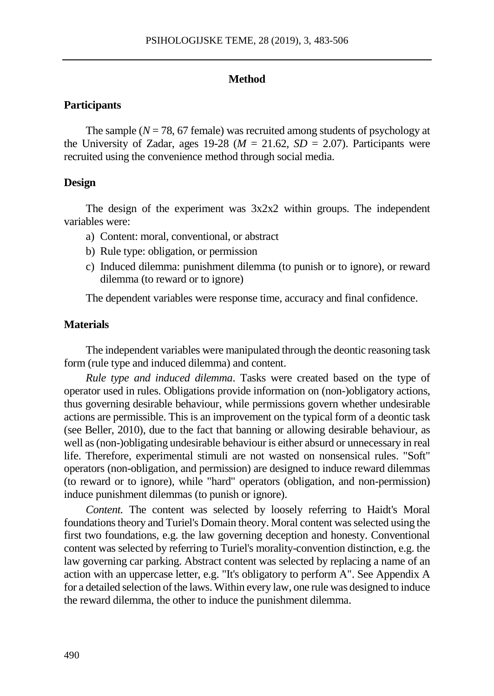## **Method**

## **Participants**

The sample ( $N = 78$ , 67 female) was recruited among students of psychology at the University of Zadar, ages  $19-28$  ( $M = 21.62$ ,  $SD = 2.07$ ). Participants were recruited using the convenience method through social media.

## **Design**

The design of the experiment was 3x2x2 within groups. The independent variables were:

- a) Content: moral, conventional, or abstract
- b) Rule type: obligation, or permission
- c) Induced dilemma: punishment dilemma (to punish or to ignore), or reward dilemma (to reward or to ignore)

The dependent variables were response time, accuracy and final confidence.

## **Materials**

The independent variables were manipulated through the deontic reasoning task form (rule type and induced dilemma) and content.

*Rule type and induced dilemma*. Tasks were created based on the type of operator used in rules. Obligations provide information on (non-)obligatory actions, thus governing desirable behaviour, while permissions govern whether undesirable actions are permissible. This is an improvement on the typical form of a deontic task (see Beller, 2010), due to the fact that banning or allowing desirable behaviour, as well as (non-)obligating undesirable behaviour is either absurd or unnecessary in real life. Therefore, experimental stimuli are not wasted on nonsensical rules. "Soft" operators (non-obligation, and permission) are designed to induce reward dilemmas (to reward or to ignore), while "hard" operators (obligation, and non-permission) induce punishment dilemmas (to punish or ignore).

*Content.* The content was selected by loosely referring to Haidt's Moral foundations theory and Turiel's Domain theory. Moral content was selected using the first two foundations, e.g. the law governing deception and honesty. Conventional content was selected by referring to Turiel's morality-convention distinction, e.g. the law governing car parking. Abstract content was selected by replacing a name of an action with an uppercase letter, e.g. "It's obligatory to perform A". See Appendix A for a detailed selection of the laws. Within every law, one rule was designed to induce the reward dilemma, the other to induce the punishment dilemma.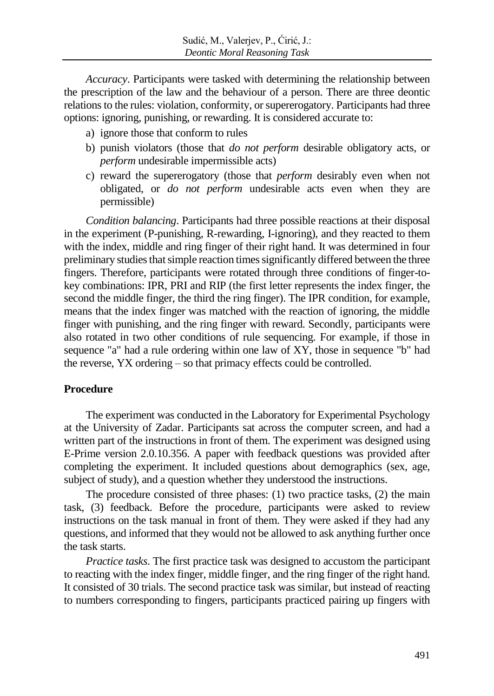*Accuracy*. Participants were tasked with determining the relationship between the prescription of the law and the behaviour of a person. There are three deontic relations to the rules: violation, conformity, or supererogatory. Participants had three options: ignoring, punishing, or rewarding. It is considered accurate to:

- a) ignore those that conform to rules
- b) punish violators (those that *do not perform* desirable obligatory acts, or *perform* undesirable impermissible acts)
- c) reward the supererogatory (those that *perform* desirably even when not obligated, or *do not perform* undesirable acts even when they are permissible)

*Condition balancing*. Participants had three possible reactions at their disposal in the experiment (P-punishing, R-rewarding, I-ignoring), and they reacted to them with the index, middle and ring finger of their right hand. It was determined in four preliminary studies that simple reaction times significantly differed between the three fingers. Therefore, participants were rotated through three conditions of finger-tokey combinations: IPR, PRI and RIP (the first letter represents the index finger, the second the middle finger, the third the ring finger). The IPR condition, for example, means that the index finger was matched with the reaction of ignoring, the middle finger with punishing, and the ring finger with reward. Secondly, participants were also rotated in two other conditions of rule sequencing. For example, if those in sequence "a" had a rule ordering within one law of XY, those in sequence "b" had the reverse, YX ordering – so that primacy effects could be controlled.

# **Procedure**

The experiment was conducted in the Laboratory for Experimental Psychology at the University of Zadar. Participants sat across the computer screen, and had a written part of the instructions in front of them. The experiment was designed using E-Prime version 2.0.10.356. A paper with feedback questions was provided after completing the experiment. It included questions about demographics (sex, age, subject of study), and a question whether they understood the instructions.

The procedure consisted of three phases: (1) two practice tasks, (2) the main task, (3) feedback. Before the procedure, participants were asked to review instructions on the task manual in front of them. They were asked if they had any questions, and informed that they would not be allowed to ask anything further once the task starts.

*Practice tasks*. The first practice task was designed to accustom the participant to reacting with the index finger, middle finger, and the ring finger of the right hand. It consisted of 30 trials. The second practice task was similar, but instead of reacting to numbers corresponding to fingers, participants practiced pairing up fingers with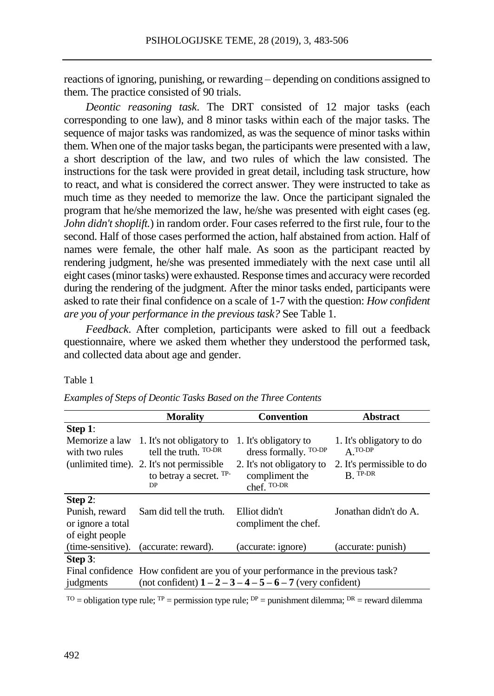reactions of ignoring, punishing, or rewarding – depending on conditions assigned to them. The practice consisted of 90 trials.

*Deontic reasoning task*. The DRT consisted of 12 major tasks (each corresponding to one law), and 8 minor tasks within each of the major tasks. The sequence of major tasks was randomized, as was the sequence of minor tasks within them. When one of the major tasks began, the participants were presented with a law, a short description of the law, and two rules of which the law consisted. The instructions for the task were provided in great detail, including task structure, how to react, and what is considered the correct answer. They were instructed to take as much time as they needed to memorize the law. Once the participant signaled the program that he/she memorized the law, he/she was presented with eight cases (eg. *John didn't shoplift.*) in random order. Four cases referred to the first rule, four to the second. Half of those cases performed the action, half abstained from action. Half of names were female, the other half male. As soon as the participant reacted by rendering judgment, he/she was presented immediately with the next case until all eight cases (minor tasks) were exhausted. Response times and accuracy were recorded during the rendering of the judgment. After the minor tasks ended, participants were asked to rate their final confidence on a scale of 1-7 with the question: *How confident are you of your performance in the previous task?* See Table 1.

*Feedback*. After completion, participants were asked to fill out a feedback questionnaire, where we asked them whether they understood the performed task, and collected data about age and gender.

#### Table 1

|                                                        | <b>Morality</b>                                                                                                                                  | <b>Convention</b>                                          | <b>Abstract</b>                                  |  |  |
|--------------------------------------------------------|--------------------------------------------------------------------------------------------------------------------------------------------------|------------------------------------------------------------|--------------------------------------------------|--|--|
| Step 1:                                                |                                                                                                                                                  |                                                            |                                                  |  |  |
| Memorize a law<br>with two rules                       | 1. It's not obligatory to<br>tell the truth. TO-DR                                                                                               | 1. It's obligatory to<br>dress formally. TO-DP             | 1. It's obligatory to do<br>$A$ <sup>TO-DP</sup> |  |  |
|                                                        | (unlimited time). 2. It's not permissible<br>to betray a secret. TP-<br>DP                                                                       | 2. It's not obligatory to<br>compliment the<br>chef. TO-DR | 2. It's permissible to do<br>$B.$ TP-DR          |  |  |
| Step 2:                                                |                                                                                                                                                  |                                                            |                                                  |  |  |
| Punish, reward<br>or ignore a total<br>of eight people | Sam did tell the truth.                                                                                                                          | Elliot didn't<br>compliment the chef.                      | Jonathan didn't do A.                            |  |  |
| (time-sensitive).                                      | (accurate: reward).                                                                                                                              | (accurate: ignore)                                         | (accurate: punish)                               |  |  |
| Step 3:                                                |                                                                                                                                                  |                                                            |                                                  |  |  |
| judgments                                              | Final confidence How confident are you of your performance in the previous task?<br>(not confident) $1 - 2 - 3 - 4 - 5 - 6 - 7$ (very confident) |                                                            |                                                  |  |  |

*Examples of Steps of Deontic Tasks Based on the Three Contents*

 $T<sup>TO</sup>$  = obligation type rule;  $T<sup>P</sup>$  = permission type rule;  $D<sup>P</sup>$  = punishment dilemma;  $D<sup>R</sup>$  = reward dilemma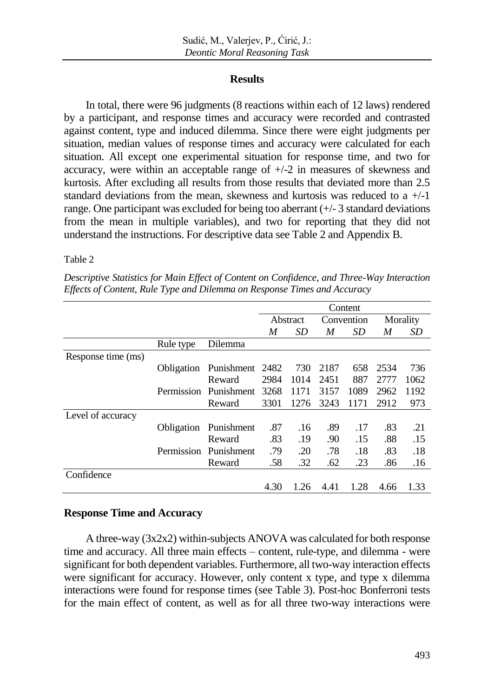# **Results**

In total, there were 96 judgments (8 reactions within each of 12 laws) rendered by a participant, and response times and accuracy were recorded and contrasted against content, type and induced dilemma. Since there were eight judgments per situation, median values of response times and accuracy were calculated for each situation. All except one experimental situation for response time, and two for accuracy, were within an acceptable range of  $+/-2$  in measures of skewness and kurtosis. After excluding all results from those results that deviated more than 2.5 standard deviations from the mean, skewness and kurtosis was reduced to a +/-1 range. One participant was excluded for being too aberrant (+/- 3 standard deviations from the mean in multiple variables), and two for reporting that they did not understand the instructions. For descriptive data see Table 2 and Appendix B.

Table 2

|                    |            |                   | Content                |           |      |      |          |      |
|--------------------|------------|-------------------|------------------------|-----------|------|------|----------|------|
|                    |            |                   | Abstract<br>Convention |           |      |      | Morality |      |
|                    |            |                   | M                      | <i>SD</i> | M    | SD   | M        | SD   |
|                    | Rule type  | Dilemma           |                        |           |      |      |          |      |
| Response time (ms) |            |                   |                        |           |      |      |          |      |
|                    | Obligation | Punishment        | 2482                   | 730       | 2187 | 658  | 2534     | 736  |
|                    |            | Reward            | 2984                   | 1014      | 2451 | 887  | 2777     | 1062 |
|                    | Permission | <b>Punishment</b> | 3268                   | 1171      | 3157 | 1089 | 2962     | 1192 |
|                    |            | Reward            | 3301                   | 1276      | 3243 | 1171 | 2912     | 973  |
| Level of accuracy  |            |                   |                        |           |      |      |          |      |
|                    | Obligation | Punishment        | .87                    | .16       | .89  | .17  | .83      | .21  |
|                    |            | Reward            | .83                    | .19       | .90  | .15  | .88      | .15  |
|                    | Permission | Punishment        | .79                    | .20       | .78  | .18  | .83      | .18  |
|                    |            | Reward            | .58                    | .32       | .62  | .23  | .86      | .16  |
| Confidence         |            |                   |                        |           |      |      |          |      |
|                    |            |                   | 4.30                   | 1.26      | 4.41 | 1.28 | 4.66     | 1.33 |

*Descriptive Statistics for Main Effect of Content on Confidence, and Three-Way Interaction Effects of Content, Rule Type and Dilemma on Response Times and Accuracy*

# **Response Time and Accuracy**

A three-way (3x2x2) within-subjects ANOVA was calculated for both response time and accuracy. All three main effects – content, rule-type, and dilemma - were significant for both dependent variables. Furthermore, all two-way interaction effects were significant for accuracy. However, only content x type, and type x dilemma interactions were found for response times (see Table 3). Post-hoc Bonferroni tests for the main effect of content, as well as for all three two-way interactions were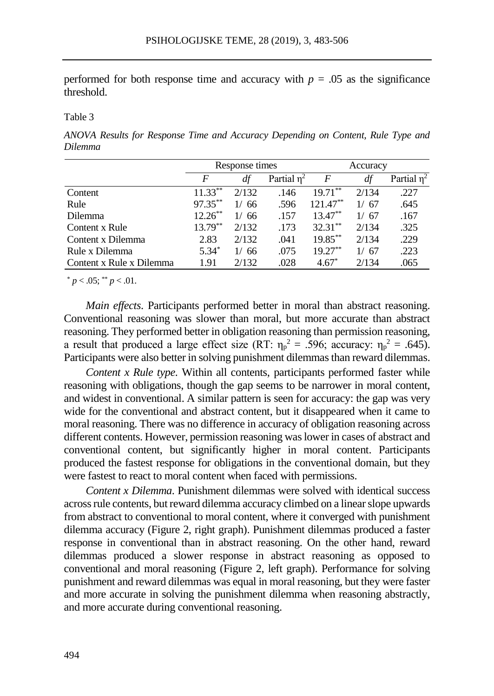performed for both response time and accuracy with  $p = 0.05$  as the significance threshold.

## Table 3

*ANOVA Results for Response Time and Accuracy Depending on Content, Rule Type and Dilemma*

|                          | Response times |           |                  | Accuracy    |           |                  |
|--------------------------|----------------|-----------|------------------|-------------|-----------|------------------|
|                          | F              | df        | Partial $\eta^2$ | F           | df        | Partial $\eta^2$ |
| Content                  | $11.33***$     | 2/132     | .146             | $19.71***$  | 2/134     | .227             |
| Rule                     | $97.35***$     | 1/66      | .596             | $121.47***$ | 1/67      | .645             |
| Dilemma                  | $12.26***$     | 1/66      | .157             | $13.47**$   | 1/67      | .167             |
| Content x Rule           | $13.79***$     | 2/132     | .173             | $32.31***$  | 2/134     | .325             |
| Content x Dilemma        | 2.83           | 2/132     | .041             | $19.85***$  | 2/134     | .229             |
| Rule x Dilemma           | $5.34*$        | -66<br>17 | .075             | $19.27***$  | -67<br>1/ | .223             |
| Content x Rule x Dilemma | 1.91           | 2/132     | .028             | $4.67*$     | 2/134     | .065             |

 $p < .05$ ; \*\*  $p < .01$ .

*Main effects*. Participants performed better in moral than abstract reasoning. Conventional reasoning was slower than moral, but more accurate than abstract reasoning. They performed better in obligation reasoning than permission reasoning, a result that produced a large effect size (RT:  $\eta_p^2 = .596$ ; accuracy:  $\eta_p^2 = .645$ ). Participants were also better in solving punishment dilemmas than reward dilemmas.

*Content x Rule type.* Within all contents, participants performed faster while reasoning with obligations, though the gap seems to be narrower in moral content, and widest in conventional. A similar pattern is seen for accuracy: the gap was very wide for the conventional and abstract content, but it disappeared when it came to moral reasoning. There was no difference in accuracy of obligation reasoning across different contents. However, permission reasoning was lower in cases of abstract and conventional content, but significantly higher in moral content. Participants produced the fastest response for obligations in the conventional domain, but they were fastest to react to moral content when faced with permissions.

*Content x Dilemma*. Punishment dilemmas were solved with identical success across rule contents, but reward dilemma accuracy climbed on a linear slope upwards from abstract to conventional to moral content, where it converged with punishment dilemma accuracy (Figure 2, right graph). Punishment dilemmas produced a faster response in conventional than in abstract reasoning. On the other hand, reward dilemmas produced a slower response in abstract reasoning as opposed to conventional and moral reasoning (Figure 2, left graph). Performance for solving punishment and reward dilemmas was equal in moral reasoning, but they were faster and more accurate in solving the punishment dilemma when reasoning abstractly, and more accurate during conventional reasoning.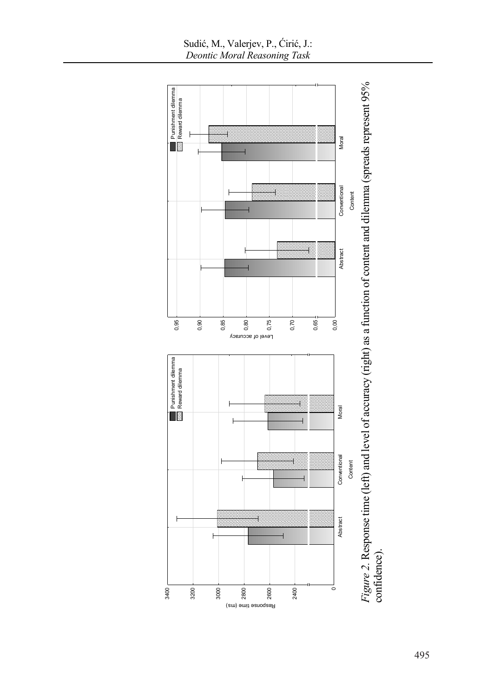

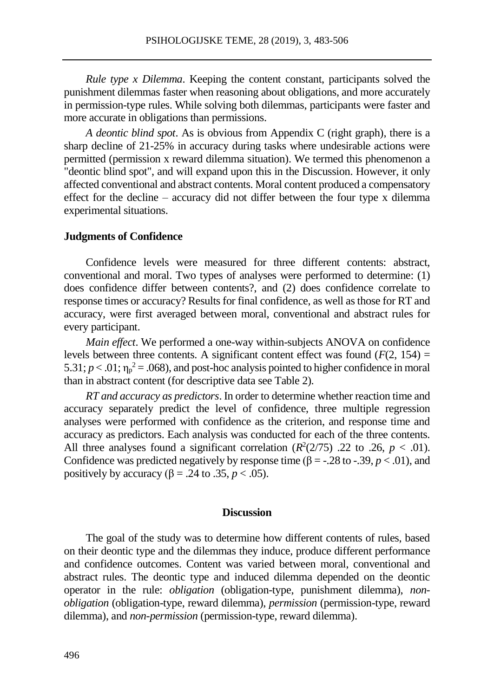*Rule type x Dilemma*. Keeping the content constant, participants solved the punishment dilemmas faster when reasoning about obligations, and more accurately in permission-type rules. While solving both dilemmas, participants were faster and more accurate in obligations than permissions.

*A deontic blind spot*. As is obvious from Appendix C (right graph), there is a sharp decline of 21-25% in accuracy during tasks where undesirable actions were permitted (permission x reward dilemma situation). We termed this phenomenon a "deontic blind spot", and will expand upon this in the Discussion. However, it only affected conventional and abstract contents. Moral content produced a compensatory effect for the decline – accuracy did not differ between the four type x dilemma experimental situations.

## **Judgments of Confidence**

Confidence levels were measured for three different contents: abstract, conventional and moral. Two types of analyses were performed to determine: (1) does confidence differ between contents?, and (2) does confidence correlate to response times or accuracy? Results for final confidence, as well as those for RT and accuracy, were first averaged between moral, conventional and abstract rules for every participant.

*Main effect*. We performed a one-way within-subjects ANOVA on confidence levels between three contents. A significant content effect was found  $(F(2, 154) =$  $5.31; p < .01; \eta_p^2 = .068$ ), and post-hoc analysis pointed to higher confidence in moral than in abstract content (for descriptive data see Table 2).

*RT and accuracy as predictors*. In order to determine whether reaction time and accuracy separately predict the level of confidence, three multiple regression analyses were performed with confidence as the criterion, and response time and accuracy as predictors. Each analysis was conducted for each of the three contents. All three analyses found a significant correlation  $(R^2(2/75)$  .22 to .26,  $p < .01$ ). Confidence was predicted negatively by response time ( $\beta$  = -.28 to -.39, *p* < .01), and positively by accuracy ( $\beta$  = .24 to .35, *p* < .05).

## **Discussion**

The goal of the study was to determine how different contents of rules, based on their deontic type and the dilemmas they induce, produce different performance and confidence outcomes. Content was varied between moral, conventional and abstract rules. The deontic type and induced dilemma depended on the deontic operator in the rule: *obligation* (obligation-type, punishment dilemma), *nonobligation* (obligation-type, reward dilemma), *permission* (permission-type, reward dilemma), and *non-permission* (permission-type, reward dilemma).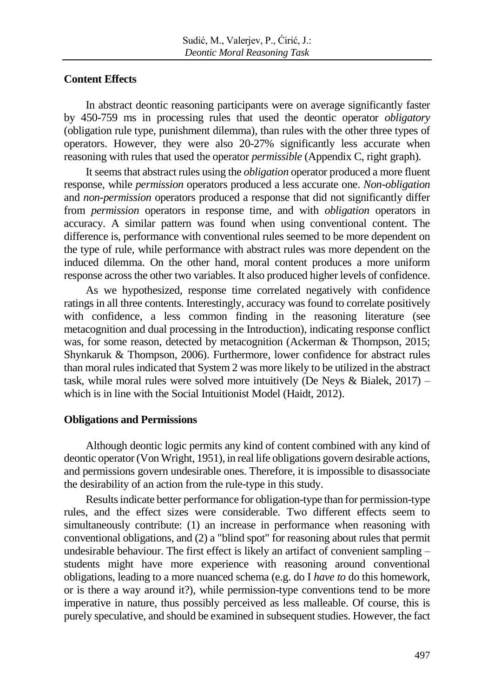## **Content Effects**

In abstract deontic reasoning participants were on average significantly faster by 450-759 ms in processing rules that used the deontic operator *obligatory*  (obligation rule type, punishment dilemma), than rules with the other three types of operators. However, they were also 20-27% significantly less accurate when reasoning with rules that used the operator *permissible* (Appendix C, right graph).

It seems that abstract rules using the *obligation* operator produced a more fluent response, while *permission* operators produced a less accurate one. *Non-obligation* and *non-permission* operators produced a response that did not significantly differ from *permission* operators in response time, and with *obligation* operators in accuracy. A similar pattern was found when using conventional content. The difference is, performance with conventional rules seemed to be more dependent on the type of rule, while performance with abstract rules was more dependent on the induced dilemma. On the other hand, moral content produces a more uniform response across the other two variables. It also produced higher levels of confidence.

As we hypothesized, response time correlated negatively with confidence ratings in all three contents. Interestingly, accuracy was found to correlate positively with confidence, a less common finding in the reasoning literature (see metacognition and dual processing in the Introduction), indicating response conflict was, for some reason, detected by metacognition (Ackerman & Thompson, 2015; Shynkaruk & Thompson, 2006). Furthermore, lower confidence for abstract rules than moral rules indicated that System 2 was more likely to be utilized in the abstract task, while moral rules were solved more intuitively (De Neys & Bialek,  $2017$ ) – which is in line with the Social Intuitionist Model (Haidt, 2012).

# **Obligations and Permissions**

Although deontic logic permits any kind of content combined with any kind of deontic operator (Von Wright, 1951), in real life obligations govern desirable actions, and permissions govern undesirable ones. Therefore, it is impossible to disassociate the desirability of an action from the rule-type in this study.

Results indicate better performance for obligation-type than for permission-type rules, and the effect sizes were considerable. Two different effects seem to simultaneously contribute: (1) an increase in performance when reasoning with conventional obligations, and (2) a "blind spot" for reasoning about rules that permit undesirable behaviour. The first effect is likely an artifact of convenient sampling – students might have more experience with reasoning around conventional obligations, leading to a more nuanced schema (e.g. do I *have to* do this homework, or is there a way around it?), while permission-type conventions tend to be more imperative in nature, thus possibly perceived as less malleable. Of course, this is purely speculative, and should be examined in subsequent studies. However, the fact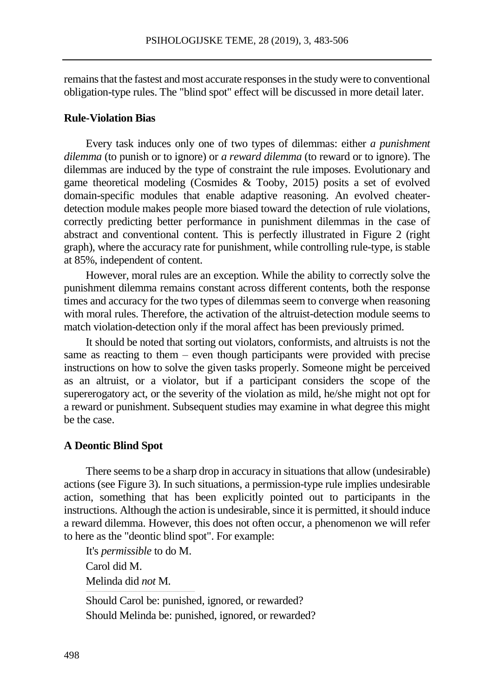remains that the fastest and most accurate responses in the study were to conventional obligation-type rules. The "blind spot" effect will be discussed in more detail later.

## **Rule-Violation Bias**

Every task induces only one of two types of dilemmas: either *a punishment dilemma* (to punish or to ignore) or *a reward dilemma* (to reward or to ignore). The dilemmas are induced by the type of constraint the rule imposes. Evolutionary and game theoretical modeling (Cosmides & Tooby, 2015) posits a set of evolved domain-specific modules that enable adaptive reasoning. An evolved cheaterdetection module makes people more biased toward the detection of rule violations, correctly predicting better performance in punishment dilemmas in the case of abstract and conventional content. This is perfectly illustrated in Figure 2 (right graph), where the accuracy rate for punishment, while controlling rule-type, is stable at 85%, independent of content.

However, moral rules are an exception. While the ability to correctly solve the punishment dilemma remains constant across different contents, both the response times and accuracy for the two types of dilemmas seem to converge when reasoning with moral rules. Therefore, the activation of the altruist-detection module seems to match violation-detection only if the moral affect has been previously primed.

It should be noted that sorting out violators, conformists, and altruists is not the same as reacting to them – even though participants were provided with precise instructions on how to solve the given tasks properly. Someone might be perceived as an altruist, or a violator, but if a participant considers the scope of the supererogatory act, or the severity of the violation as mild, he/she might not opt for a reward or punishment. Subsequent studies may examine in what degree this might be the case.

## **A Deontic Blind Spot**

There seems to be a sharp drop in accuracy in situations that allow (undesirable) actions (see Figure 3). In such situations, a permission-type rule implies undesirable action, something that has been explicitly pointed out to participants in the instructions. Although the action is undesirable, since it is permitted, it should induce a reward dilemma. However, this does not often occur, a phenomenon we will refer to here as the "deontic blind spot". For example:

It's *permissible* to do M. Carol did M. Melinda did *not* M. Should Carol be: punished, ignored, or rewarded?

Should Melinda be: punished, ignored, or rewarded?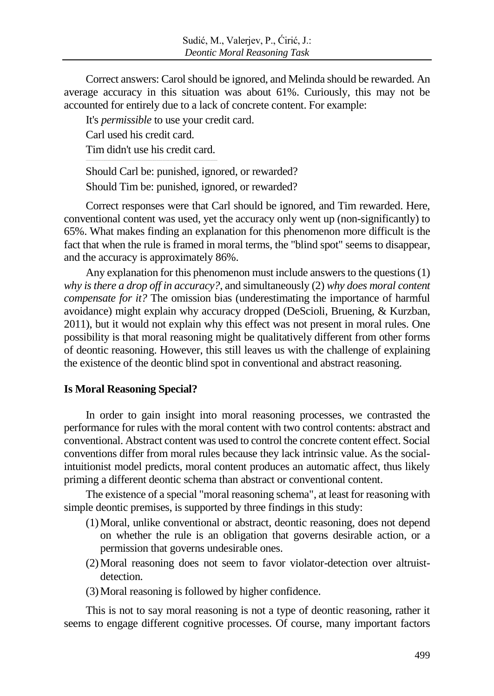Correct answers: Carol should be ignored, and Melinda should be rewarded. An average accuracy in this situation was about 61%. Curiously, this may not be accounted for entirely due to a lack of concrete content. For example:

It's *permissible* to use your credit card.

Carl used his credit card.

Tim didn't use his credit card.

Should Carl be: punished, ignored, or rewarded? Should Tim be: punished, ignored, or rewarded?

Correct responses were that Carl should be ignored, and Tim rewarded. Here, conventional content was used, yet the accuracy only went up (non-significantly) to 65%. What makes finding an explanation for this phenomenon more difficult is the fact that when the rule is framed in moral terms, the "blind spot" seems to disappear, and the accuracy is approximately 86%.

Any explanation for this phenomenon must include answers to the questions (1) *why is there a drop off in accuracy?,* and simultaneously (2) *why does moral content compensate for it?* The omission bias (underestimating the importance of harmful avoidance) might explain why accuracy dropped (DeScioli, Bruening, & Kurzban, 2011), but it would not explain why this effect was not present in moral rules. One possibility is that moral reasoning might be qualitatively different from other forms of deontic reasoning. However, this still leaves us with the challenge of explaining the existence of the deontic blind spot in conventional and abstract reasoning.

# **Is Moral Reasoning Special?**

In order to gain insight into moral reasoning processes, we contrasted the performance for rules with the moral content with two control contents: abstract and conventional. Abstract content was used to control the concrete content effect. Social conventions differ from moral rules because they lack intrinsic value. As the socialintuitionist model predicts, moral content produces an automatic affect, thus likely priming a different deontic schema than abstract or conventional content.

The existence of a special "moral reasoning schema", at least for reasoning with simple deontic premises, is supported by three findings in this study:

- (1)Moral, unlike conventional or abstract, deontic reasoning, does not depend on whether the rule is an obligation that governs desirable action, or a permission that governs undesirable ones.
- (2)Moral reasoning does not seem to favor violator-detection over altruistdetection.
- (3)Moral reasoning is followed by higher confidence.

This is not to say moral reasoning is not a type of deontic reasoning, rather it seems to engage different cognitive processes. Of course, many important factors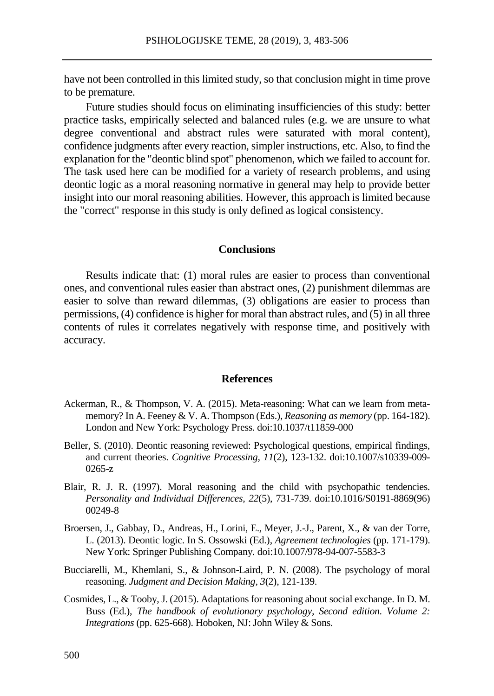have not been controlled in this limited study, so that conclusion might in time prove to be premature.

Future studies should focus on eliminating insufficiencies of this study: better practice tasks, empirically selected and balanced rules (e.g. we are unsure to what degree conventional and abstract rules were saturated with moral content), confidence judgments after every reaction, simpler instructions, etc. Also, to find the explanation for the "deontic blind spot" phenomenon, which we failed to account for. The task used here can be modified for a variety of research problems, and using deontic logic as a moral reasoning normative in general may help to provide better insight into our moral reasoning abilities. However, this approach is limited because the "correct" response in this study is only defined as logical consistency.

#### **Conclusions**

Results indicate that: (1) moral rules are easier to process than conventional ones, and conventional rules easier than abstract ones, (2) punishment dilemmas are easier to solve than reward dilemmas, (3) obligations are easier to process than permissions, (4) confidence is higher for moral than abstract rules, and  $(5)$  in all three contents of rules it correlates negatively with response time, and positively with accuracy.

## **References**

- Ackerman, R., & Thompson, V. A. (2015). Meta-reasoning: What can we learn from metamemory? In A. Feeney & V. A. Thompson (Eds.), *Reasoning as memory* (pp. 164-182). London and New York: Psychology Press. doi:10.1037/t11859-000
- Beller, S. (2010). Deontic reasoning reviewed: Psychological questions, empirical findings, and current theories. *Cognitive Processing, 11*(2), 123-132. doi:10.1007/s10339-009- 0265-z
- Blair, R. J. R. (1997). Moral reasoning and the child with psychopathic tendencies. *Personality and Individual Differences, 22*(5), 731-739. doi:10.1016/S0191-8869(96) 00249-8
- Broersen, J., Gabbay, D., Andreas, H., Lorini, E., Meyer, J.-J., Parent, X., & van der Torre, L. (2013). Deontic logic. In S. Ossowski (Ed.), *Agreement technologies* (pp. 171-179). New York: Springer Publishing Company. doi:10.1007/978-94-007-5583-3
- Bucciarelli, M., Khemlani, S., & Johnson-Laird, P. N. (2008). The psychology of moral reasoning. *Judgment and Decision Making, 3*(2), 121-139.
- Cosmides, L., & Tooby, J. (2015). Adaptations for reasoning about social exchange. In D. M. Buss (Ed.), *The handbook of evolutionary psychology, Second edition. Volume 2: Integrations* (pp. 625-668). Hoboken, NJ: John Wiley & Sons.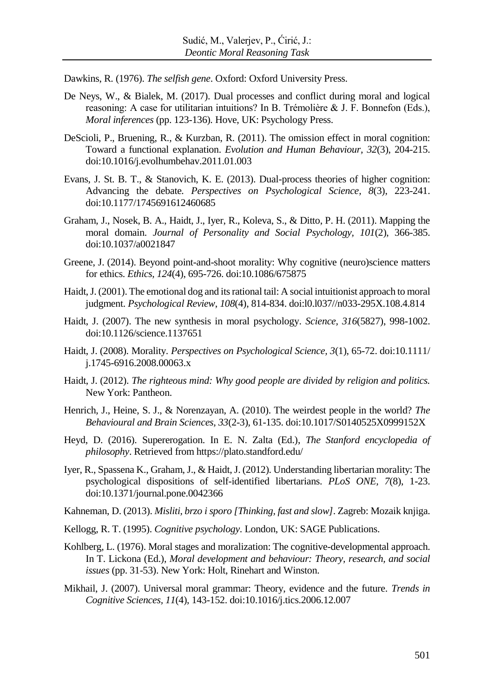Dawkins, R. (1976). *The selfish gene*. Oxford: Oxford University Press.

- De Neys, W., & Bialek, M. (2017). Dual processes and conflict during moral and logical reasoning: A case for utilitarian intuitions? In B. Trémolière & J. F. Bonnefon (Eds.), *Moral inferences* (pp. 123-136). Hove, UK: Psychology Press.
- DeScioli, P., Bruening, R., & Kurzban, R. (2011). The omission effect in moral cognition: Toward a functional explanation. *Evolution and Human Behaviour, 32*(3), 204-215. doi:10.1016/j.evolhumbehav.2011.01.003
- Evans, J. St. B. T., & Stanovich, K. E. (2013). Dual-process theories of higher cognition: Advancing the debate*. Perspectives on Psychological Science, 8*(3), 223-241. doi:10.1177/1745691612460685
- Graham, J., Nosek, B. A., Haidt, J., Iyer, R., Koleva, S., & Ditto, P. H. (2011). Mapping the moral domain. *Journal of Personality and Social Psychology, 101*(2), 366-385. doi:10.1037/a0021847
- Greene, J. (2014). Beyond point-and-shoot morality: Why cognitive (neuro)science matters for ethics. *Ethics, 124*(4), 695-726. doi:10.1086/675875
- Haidt, J. (2001). The emotional dog and its rational tail: A social intuitionist approach to moral judgment. *Psychological Review*, *108*(4), 814-834. doi:l0.l037//n033-295X.108.4.814
- Haidt, J. (2007). The new synthesis in moral psychology. *Science, 316*(5827), 998-1002. doi:10.1126/science.1137651
- Haidt, J. (2008). Morality. *Perspectives on Psychological Science, 3*(1), 65-72. doi:10.1111/ j.1745-6916.2008.00063.x
- Haidt, J. (2012). *The righteous mind: Why good people are divided by religion and politics.* New York: Pantheon.
- Henrich, J., Heine, S. J., & Norenzayan, A. (2010). The weirdest people in the world? *The Behavioural and Brain Sciences, 33*(2-3), 61-135. doi:10.1017/S0140525X0999152X
- Heyd, D. (2016). Supererogation. In E. N. Zalta (Ed.), *The Stanford encyclopedia of philosophy*. Retrieved from https://plato.standford.edu/
- Iyer, R., Spassena K., Graham, J., & Haidt, J. (2012). Understanding libertarian morality: The psychological dispositions of self-identified libertarians. *PLoS ONE, 7*(8), 1-23. doi:10.1371/journal.pone.0042366
- Kahneman, D. (2013). *Misliti, brzo i sporo [Thinking, fast and slow]*. Zagreb: Mozaik knjiga.
- Kellogg, R. T. (1995). *Cognitive psychology*. London, UK: SAGE Publications.
- Kohlberg, L. (1976). Moral stages and moralization: The cognitive-developmental approach. In T. Lickona (Ed.), *Moral development and behaviour: Theory, research, and social issues* (pp. 31-53). New York: Holt, Rinehart and Winston.
- Mikhail, J. (2007). Universal moral grammar: Theory, evidence and the future. *Trends in Cognitive Sciences, 11*(4), 143-152. doi:10.1016/j.tics.2006.12.007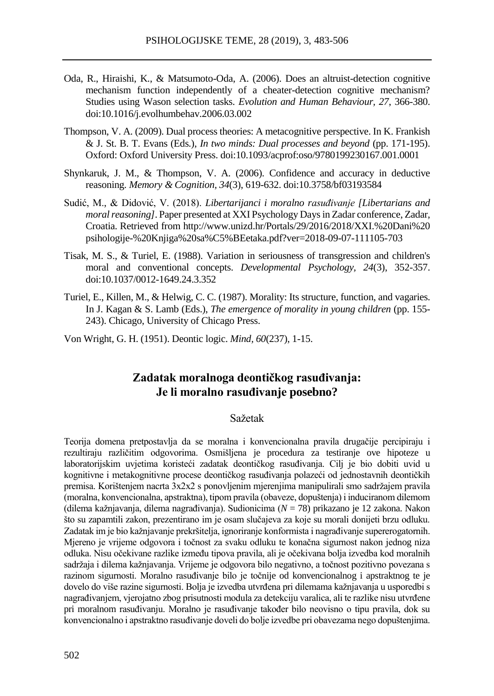- Oda, R., Hiraishi, K., & Matsumoto-Oda, A. (2006). Does an altruist-detection cognitive mechanism function independently of a cheater-detection cognitive mechanism? Studies using Wason selection tasks. *Evolution and Human Behaviour, 27*, 366-380. doi:10.1016/j.evolhumbehav.2006.03.002
- Thompson, V. A. (2009). Dual process theories: A metacognitive perspective. In K. Frankish & J. St. B. T. Evans (Eds.), *In two minds: Dual processes and beyond* (pp. 171-195). Oxford: Oxford University Press. doi:10.1093/acprof:oso/9780199230167.001.0001
- Shynkaruk, J. M., & Thompson, V. A. (2006). Confidence and accuracy in deductive reasoning. *Memory & Cognition, 34*(3), 619-632. doi:10.3758/bf03193584
- Sudić, M., & Didović, V. (2018). *Libertarijanci i moralno rasuđivanje [Libertarians and moral reasoning]*. Paper presented at XXI Psychology Days in Zadar conference, Zadar, Croatia. Retrieved from http://www.unizd.hr/Portals/29/2016/2018/XXI.%20Dani%20 psihologije-%20Knjiga%20sa%C5%BEetaka.pdf?ver=2018-09-07-111105-703
- Tisak, M. S., & Turiel, E. (1988). Variation in seriousness of transgression and children's moral and conventional concepts. *Developmental Psychology, 24*(3), 352-357. doi:10.1037/0012-1649.24.3.352
- Turiel, E., Killen, M., & Helwig, C. C. (1987). Morality: Its structure, function, and vagaries. In J. Kagan & S. Lamb (Eds.), *The emergence of morality in young children* (pp. 155- 243). Chicago, University of Chicago Press.

Von Wright, G. H. (1951). Deontic logic. *Mind, 60*(237), 1-15.

# **Zadatak moralnoga deontičkog rasuđivanja: Je li moralno rasuđivanje posebno?**

## Sažetak

Teorija domena pretpostavlja da se moralna i konvencionalna pravila drugačije percipiraju i rezultiraju različitim odgovorima. Osmišljena je procedura za testiranje ove hipoteze u laboratorijskim uvjetima koristeći zadatak deontičkog rasuđivanja. Cilj je bio dobiti uvid u kognitivne i metakognitivne procese deontičkog rasuđivanja polazeći od jednostavnih deontičkih premisa. Korištenjem nacrta 3x2x2 s ponovljenim mjerenjima manipulirali smo sadržajem pravila (moralna, konvencionalna, apstraktna), tipom pravila (obaveze, dopuštenja) i induciranom dilemom (dilema kažnjavanja, dilema nagrađivanja). Sudionicima (*N* = 78) prikazano je 12 zakona. Nakon što su zapamtili zakon, prezentirano im je osam slučajeva za koje su morali donijeti brzu odluku. Zadatak im je bio kažnjavanje prekršitelja, ignoriranje konformista i nagrađivanje supererogatornih. Mjereno je vrijeme odgovora i točnost za svaku odluku te konačna sigurnost nakon jednog niza odluka. Nisu očekivane razlike između tipova pravila, ali je očekivana bolja izvedba kod moralnih sadržaja i dilema kažnjavanja. Vrijeme je odgovora bilo negativno, a točnost pozitivno povezana s razinom sigurnosti. Moralno rasuđivanje bilo je točnije od konvencionalnog i apstraktnog te je dovelo do više razine sigurnosti. Bolja je izvedba utvrđena pri dilemama kažnjavanja u usporedbi s nagrađivanjem, vjerojatno zbog prisutnosti modula za detekciju varalica, ali te razlike nisu utvrđene pri moralnom rasuđivanju. Moralno je rasuđivanje također bilo neovisno o tipu pravila, dok su konvencionalno i apstraktno rasuđivanje doveli do bolje izvedbe pri obavezama nego dopuštenjima.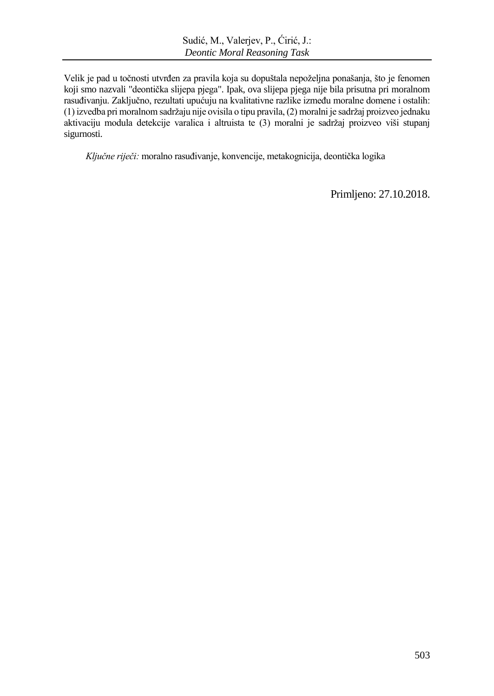Velik je pad u točnosti utvrđen za pravila koja su dopuštala nepoželjna ponašanja, što je fenomen koji smo nazvali "deontička slijepa pjega". Ipak, ova slijepa pjega nije bila prisutna pri moralnom rasuđivanju. Zaključno, rezultati upućuju na kvalitativne razlike između moralne domene i ostalih: (1) izvedba pri moralnom sadržaju nije ovisila o tipu pravila, (2) moralni je sadržaj proizveo jednaku aktivaciju modula detekcije varalica i altruista te (3) moralni je sadržaj proizveo viši stupanj sigurnosti.

*Ključne riječi:* moralno rasuđivanje, konvencije, metakognicija, deontička logika

Primljeno: 27.10.2018.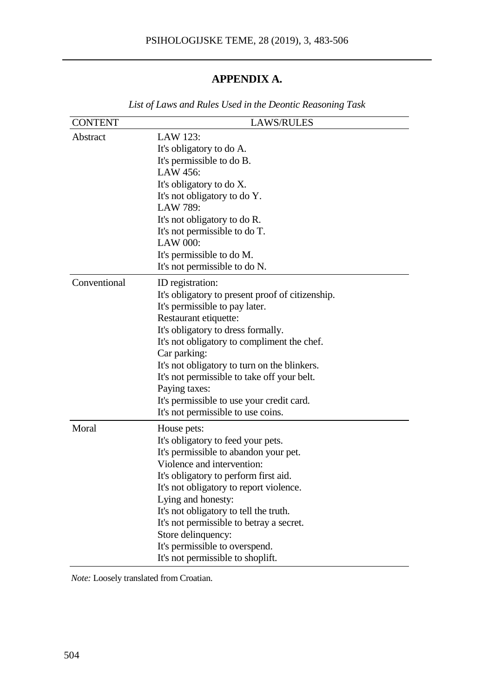# **APPENDIX A.**

| <b>CONTENT</b> | <b>LAWS/RULES</b>                                                                                                                                                                                                                                                                                                                                                                                                                       |  |  |  |  |
|----------------|-----------------------------------------------------------------------------------------------------------------------------------------------------------------------------------------------------------------------------------------------------------------------------------------------------------------------------------------------------------------------------------------------------------------------------------------|--|--|--|--|
| Abstract       | LAW 123:<br>It's obligatory to do A.<br>It's permissible to do B.<br>LAW 456:<br>It's obligatory to do X.<br>It's not obligatory to do Y.<br>LAW 789:<br>It's not obligatory to do R.<br>It's not permissible to do T.<br><b>LAW 000:</b><br>It's permissible to do M.<br>It's not permissible to do N.                                                                                                                                 |  |  |  |  |
| Conventional   | ID registration:<br>It's obligatory to present proof of citizenship.<br>It's permissible to pay later.<br>Restaurant etiquette:<br>It's obligatory to dress formally.<br>It's not obligatory to compliment the chef.<br>Car parking:<br>It's not obligatory to turn on the blinkers.<br>It's not permissible to take off your belt.<br>Paying taxes:<br>It's permissible to use your credit card.<br>It's not permissible to use coins. |  |  |  |  |
| Moral          | House pets:<br>It's obligatory to feed your pets.<br>It's permissible to abandon your pet.<br>Violence and intervention:<br>It's obligatory to perform first aid.<br>It's not obligatory to report violence.<br>Lying and honesty:<br>It's not obligatory to tell the truth.<br>It's not permissible to betray a secret.<br>Store delinquency:<br>It's permissible to overspend.<br>It's not permissible to shoplift.                   |  |  |  |  |

*List of Laws and Rules Used in the Deontic Reasoning Task*

*Note:* Loosely translated from Croatian.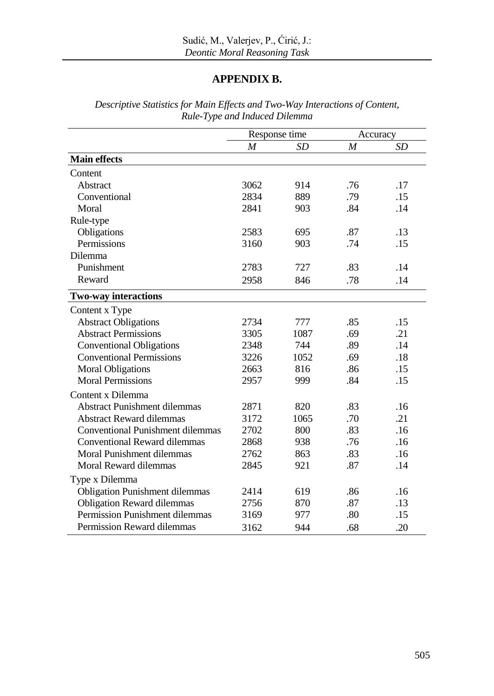# **APPENDIX B.**

|                                       | Response time    |      | Accuracy         |           |  |
|---------------------------------------|------------------|------|------------------|-----------|--|
|                                       | $\boldsymbol{M}$ | SD   | $\boldsymbol{M}$ | <b>SD</b> |  |
| <b>Main effects</b>                   |                  |      |                  |           |  |
| Content                               |                  |      |                  |           |  |
| Abstract                              | 3062             | 914  | .76              | .17       |  |
| Conventional                          | 2834             | 889  | .79              | .15       |  |
| Moral                                 | 2841             | 903  | .84              | .14       |  |
| Rule-type                             |                  |      |                  |           |  |
| Obligations                           | 2583             | 695  | .87              | .13       |  |
| Permissions                           | 3160             | 903  | .74              | .15       |  |
| <b>Dilemma</b>                        |                  |      |                  |           |  |
| Punishment                            | 2783             | 727  | .83              | .14       |  |
| Reward                                | 2958             | 846  | .78              | .14       |  |
| <b>Two-way interactions</b>           |                  |      |                  |           |  |
| Content x Type                        |                  |      |                  |           |  |
| <b>Abstract Obligations</b>           | 2734             | 777  | .85              | .15       |  |
| <b>Abstract Permissions</b>           | 3305             | 1087 | .69              | .21       |  |
| <b>Conventional Obligations</b>       | 2348             | 744  | .89              | .14       |  |
| <b>Conventional Permissions</b>       | 3226             | 1052 | .69              | .18       |  |
| <b>Moral Obligations</b>              | 2663             | 816  | .86              | .15       |  |
| <b>Moral Permissions</b>              | 2957             | 999  | .84              | .15       |  |
| Content x Dilemma                     |                  |      |                  |           |  |
| <b>Abstract Punishment dilemmas</b>   | 2871             | 820  | .83              | .16       |  |
| <b>Abstract Reward dilemmas</b>       | 3172             | 1065 | .70              | .21       |  |
| Conventional Punishment dilemmas      | 2702             | 800  | .83              | .16       |  |
| Conventional Reward dilemmas          | 2868             | 938  | .76              | .16       |  |
| Moral Punishment dilemmas             | 2762             | 863  | .83              | .16       |  |
| Moral Reward dilemmas                 | 2845             | 921  | .87              | .14       |  |
| Type x Dilemma                        |                  |      |                  |           |  |
| <b>Obligation Punishment dilemmas</b> | 2414             | 619  | .86              | .16       |  |
| <b>Obligation Reward dilemmas</b>     | 2756             | 870  | .87              | .13       |  |
| Permission Punishment dilemmas        | 3169             | 977  | .80              | .15       |  |
| Permission Reward dilemmas            | 3162             | 944  | .68              | .20       |  |

*Descriptive Statistics for Main Effects and Two-Way Interactions of Content, Rule-Type and Induced Dilemma*